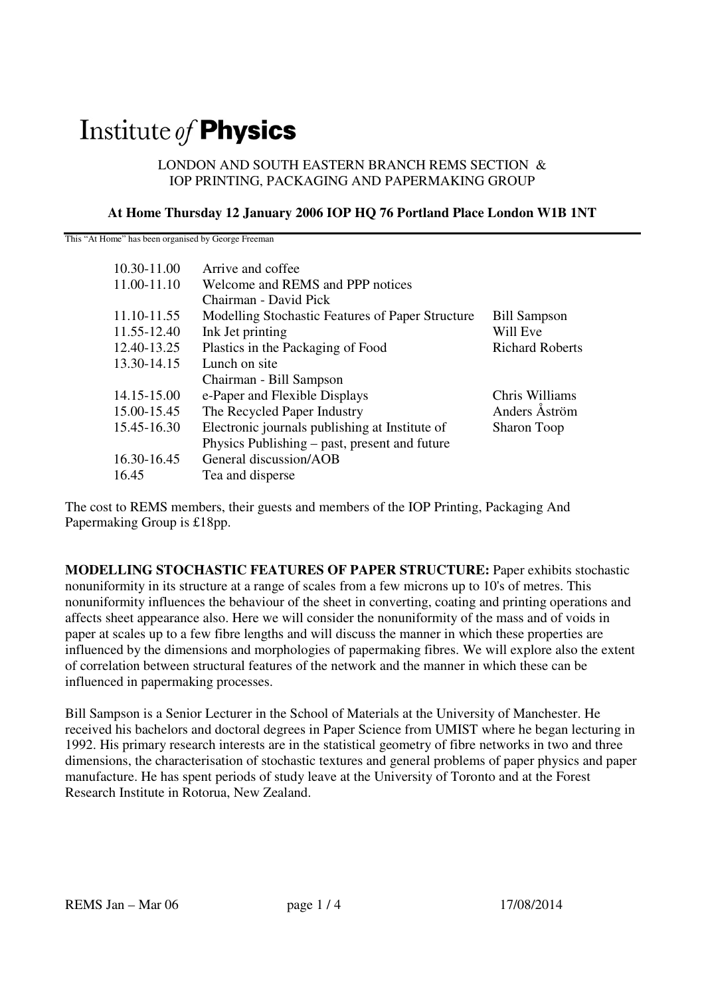# Institute of **Physics**

#### LONDON AND SOUTH EASTERN BRANCH REMS SECTION & IOP PRINTING, PACKAGING AND PAPERMAKING GROUP

### **At Home Thursday 12 January 2006 IOP HQ 76 Portland Place London W1B 1NT**

This "At Home" has been organised by George Freeman

| 10.30-11.00 | Arrive and coffee                                |                        |
|-------------|--------------------------------------------------|------------------------|
| 11.00-11.10 | Welcome and REMS and PPP notices                 |                        |
|             | Chairman - David Pick                            |                        |
| 11.10-11.55 | Modelling Stochastic Features of Paper Structure | <b>Bill Sampson</b>    |
| 11.55-12.40 | Ink Jet printing                                 | Will Eve               |
| 12.40-13.25 | Plastics in the Packaging of Food                | <b>Richard Roberts</b> |
| 13.30-14.15 | Lunch on site                                    |                        |
|             | Chairman - Bill Sampson                          |                        |
| 14.15-15.00 | e-Paper and Flexible Displays                    | Chris Williams         |
| 15.00-15.45 | The Recycled Paper Industry                      | Anders Aström          |
| 15.45-16.30 | Electronic journals publishing at Institute of   | Sharon Toop            |
|             | Physics Publishing – past, present and future    |                        |
| 16.30-16.45 | General discussion/AOB                           |                        |
| 16.45       | Tea and disperse                                 |                        |

The cost to REMS members, their guests and members of the IOP Printing, Packaging And Papermaking Group is £18pp.

**MODELLING STOCHASTIC FEATURES OF PAPER STRUCTURE:** Paper exhibits stochastic nonuniformity in its structure at a range of scales from a few microns up to 10's of metres. This nonuniformity influences the behaviour of the sheet in converting, coating and printing operations and affects sheet appearance also. Here we will consider the nonuniformity of the mass and of voids in paper at scales up to a few fibre lengths and will discuss the manner in which these properties are influenced by the dimensions and morphologies of papermaking fibres. We will explore also the extent of correlation between structural features of the network and the manner in which these can be influenced in papermaking processes.

Bill Sampson is a Senior Lecturer in the School of Materials at the University of Manchester. He received his bachelors and doctoral degrees in Paper Science from UMIST where he began lecturing in 1992. His primary research interests are in the statistical geometry of fibre networks in two and three dimensions, the characterisation of stochastic textures and general problems of paper physics and paper manufacture. He has spent periods of study leave at the University of Toronto and at the Forest Research Institute in Rotorua, New Zealand.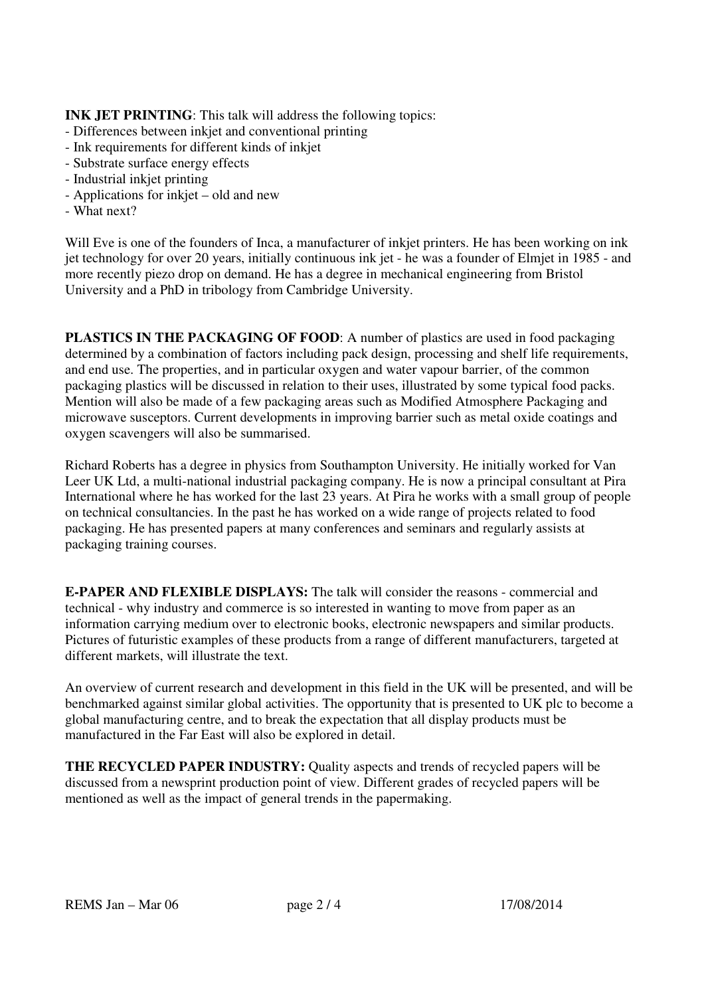## **INK JET PRINTING:** This talk will address the following topics:

- Differences between inkjet and conventional printing
- Ink requirements for different kinds of inkjet
- Substrate surface energy effects
- Industrial inkjet printing
- Applications for inkjet old and new
- What next?

Will Eve is one of the founders of Inca, a manufacturer of inkjet printers. He has been working on ink jet technology for over 20 years, initially continuous ink jet - he was a founder of Elmjet in 1985 - and more recently piezo drop on demand. He has a degree in mechanical engineering from Bristol University and a PhD in tribology from Cambridge University.

**PLASTICS IN THE PACKAGING OF FOOD**: A number of plastics are used in food packaging determined by a combination of factors including pack design, processing and shelf life requirements, and end use. The properties, and in particular oxygen and water vapour barrier, of the common packaging plastics will be discussed in relation to their uses, illustrated by some typical food packs. Mention will also be made of a few packaging areas such as Modified Atmosphere Packaging and microwave susceptors. Current developments in improving barrier such as metal oxide coatings and oxygen scavengers will also be summarised.

Richard Roberts has a degree in physics from Southampton University. He initially worked for Van Leer UK Ltd, a multi-national industrial packaging company. He is now a principal consultant at Pira International where he has worked for the last 23 years. At Pira he works with a small group of people on technical consultancies. In the past he has worked on a wide range of projects related to food packaging. He has presented papers at many conferences and seminars and regularly assists at packaging training courses.

**E-PAPER AND FLEXIBLE DISPLAYS:** The talk will consider the reasons - commercial and technical - why industry and commerce is so interested in wanting to move from paper as an information carrying medium over to electronic books, electronic newspapers and similar products. Pictures of futuristic examples of these products from a range of different manufacturers, targeted at different markets, will illustrate the text.

An overview of current research and development in this field in the UK will be presented, and will be benchmarked against similar global activities. The opportunity that is presented to UK plc to become a global manufacturing centre, and to break the expectation that all display products must be manufactured in the Far East will also be explored in detail.

**THE RECYCLED PAPER INDUSTRY:** Quality aspects and trends of recycled papers will be discussed from a newsprint production point of view. Different grades of recycled papers will be mentioned as well as the impact of general trends in the papermaking.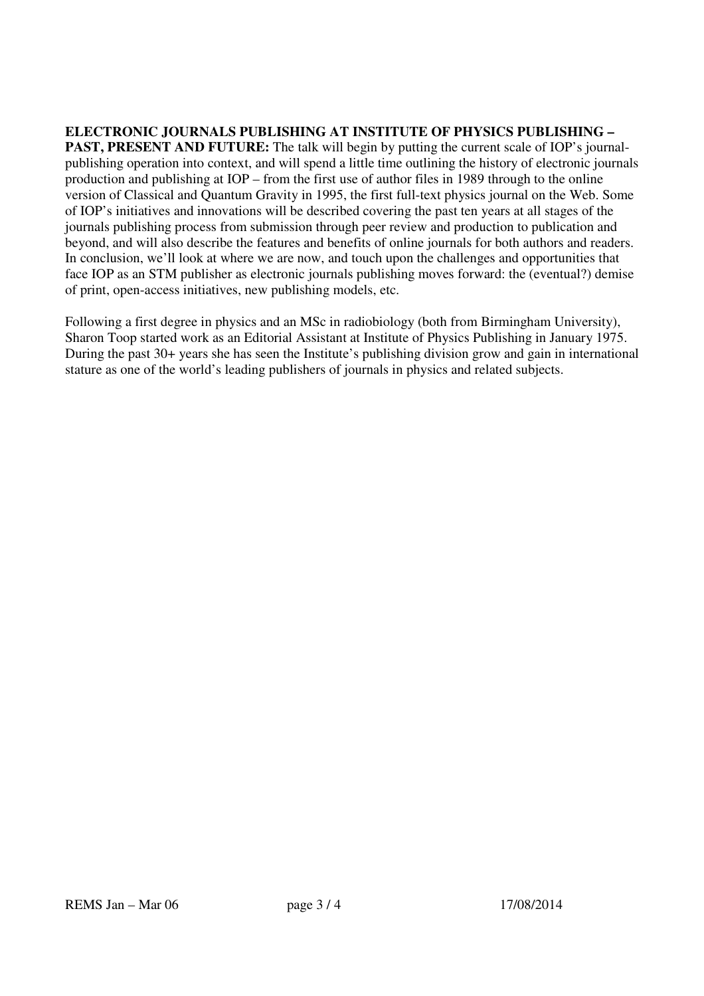## **ELECTRONIC JOURNALS PUBLISHING AT INSTITUTE OF PHYSICS PUBLISHING –**

**PAST, PRESENT AND FUTURE:** The talk will begin by putting the current scale of IOP's journalpublishing operation into context, and will spend a little time outlining the history of electronic journals production and publishing at IOP – from the first use of author files in 1989 through to the online version of Classical and Quantum Gravity in 1995, the first full-text physics journal on the Web. Some of IOP's initiatives and innovations will be described covering the past ten years at all stages of the journals publishing process from submission through peer review and production to publication and beyond, and will also describe the features and benefits of online journals for both authors and readers. In conclusion, we'll look at where we are now, and touch upon the challenges and opportunities that face IOP as an STM publisher as electronic journals publishing moves forward: the (eventual?) demise of print, open-access initiatives, new publishing models, etc.

Following a first degree in physics and an MSc in radiobiology (both from Birmingham University), Sharon Toop started work as an Editorial Assistant at Institute of Physics Publishing in January 1975. During the past 30+ years she has seen the Institute's publishing division grow and gain in international stature as one of the world's leading publishers of journals in physics and related subjects.